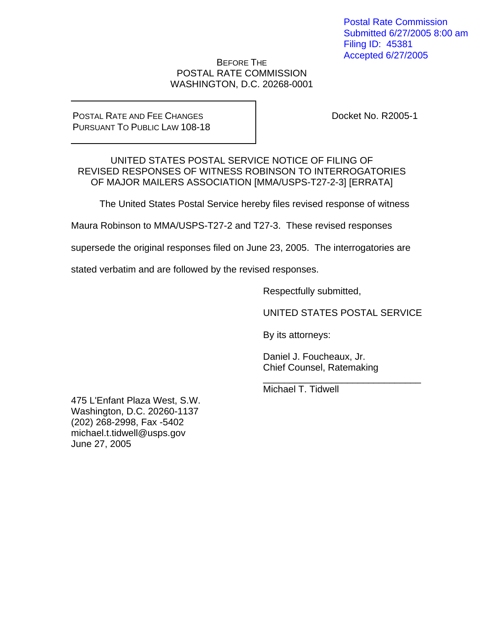Postal Rate Commission Submitted 6/27/2005 8:00 am Filing ID: 45381 Accepted 6/27/2005

### BEFORE THE POSTAL RATE COMMISSION WASHINGTON, D.C. 20268-0001

### POSTAL RATE AND FEE CHANGES PURSUANT TO PUBLIC LAW 108-18

Docket No. R2005-1

UNITED STATES POSTAL SERVICE NOTICE OF FILING OF REVISED RESPONSES OF WITNESS ROBINSON TO INTERROGATORIES OF MAJOR MAILERS ASSOCIATION [MMA/USPS-T27-2-3] [ERRATA]

The United States Postal Service hereby files revised response of witness

Maura Robinson to MMA/USPS-T27-2 and T27-3. These revised responses

supersede the original responses filed on June 23, 2005. The interrogatories are

stated verbatim and are followed by the revised responses.

Respectfully submitted,

UNITED STATES POSTAL SERVICE

By its attorneys:

 Daniel J. Foucheaux, Jr. Chief Counsel, Ratemaking

 $\frac{1}{2}$  ,  $\frac{1}{2}$  ,  $\frac{1}{2}$  ,  $\frac{1}{2}$  ,  $\frac{1}{2}$  ,  $\frac{1}{2}$  ,  $\frac{1}{2}$  ,  $\frac{1}{2}$  ,  $\frac{1}{2}$  ,  $\frac{1}{2}$  ,  $\frac{1}{2}$  ,  $\frac{1}{2}$  ,  $\frac{1}{2}$  ,  $\frac{1}{2}$  ,  $\frac{1}{2}$  ,  $\frac{1}{2}$  ,  $\frac{1}{2}$  ,  $\frac{1}{2}$  ,  $\frac{1$ Michael T. Tidwell

475 L'Enfant Plaza West, S.W. Washington, D.C. 20260-1137 (202) 268-2998, Fax -5402 michael.t.tidwell@usps.gov June 27, 2005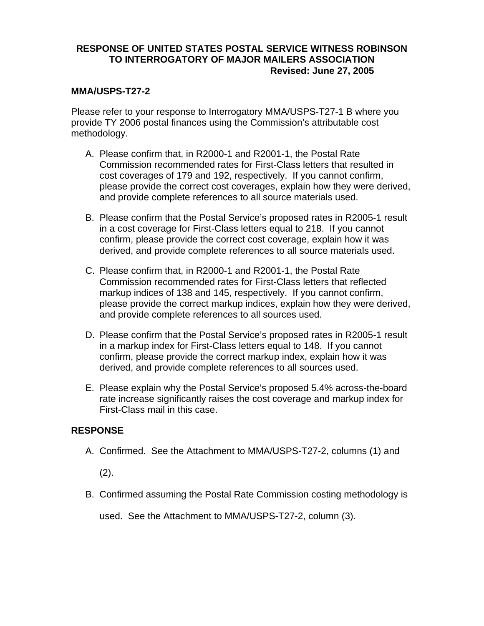### **MMA/USPS-T27-2**

Please refer to your response to Interrogatory MMA/USPS-T27-1 B where you provide TY 2006 postal finances using the Commission's attributable cost methodology.

- A. Please confirm that, in R2000-1 and R2001-1, the Postal Rate Commission recommended rates for First-Class letters that resulted in cost coverages of 179 and 192, respectively. If you cannot confirm, please provide the correct cost coverages, explain how they were derived, and provide complete references to all source materials used.
- B. Please confirm that the Postal Service's proposed rates in R2005-1 result in a cost coverage for First-Class letters equal to 218. If you cannot confirm, please provide the correct cost coverage, explain how it was derived, and provide complete references to all source materials used.
- C. Please confirm that, in R2000-1 and R2001-1, the Postal Rate Commission recommended rates for First-Class letters that reflected markup indices of 138 and 145, respectively. If you cannot confirm, please provide the correct markup indices, explain how they were derived, and provide complete references to all sources used.
- D. Please confirm that the Postal Service's proposed rates in R2005-1 result in a markup index for First-Class letters equal to 148. If you cannot confirm, please provide the correct markup index, explain how it was derived, and provide complete references to all sources used.
- E. Please explain why the Postal Service's proposed 5.4% across-the-board rate increase significantly raises the cost coverage and markup index for First-Class mail in this case.

### **RESPONSE**

A. Confirmed. See the Attachment to MMA/USPS-T27-2, columns (1) and

(2).

B. Confirmed assuming the Postal Rate Commission costing methodology is

used. See the Attachment to MMA/USPS-T27-2, column (3).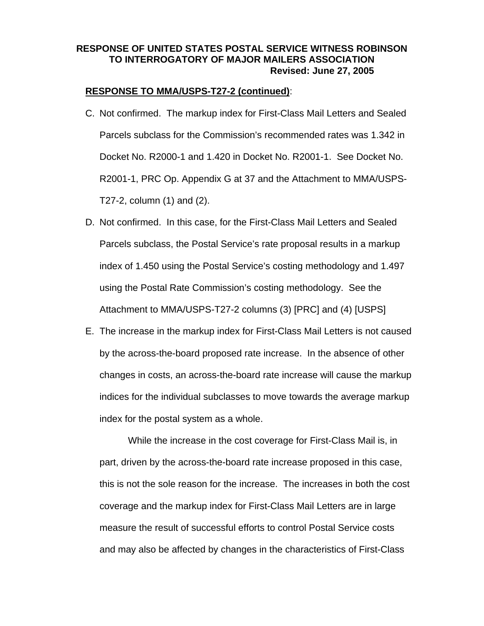### **RESPONSE TO MMA/USPS-T27-2 (continued)**:

- C. Not confirmed. The markup index for First-Class Mail Letters and Sealed Parcels subclass for the Commission's recommended rates was 1.342 in Docket No. R2000-1 and 1.420 in Docket No. R2001-1. See Docket No. R2001-1, PRC Op. Appendix G at 37 and the Attachment to MMA/USPS-T27-2, column (1) and (2).
- D. Not confirmed. In this case, for the First-Class Mail Letters and Sealed Parcels subclass, the Postal Service's rate proposal results in a markup index of 1.450 using the Postal Service's costing methodology and 1.497 using the Postal Rate Commission's costing methodology. See the Attachment to MMA/USPS-T27-2 columns (3) [PRC] and (4) [USPS]
- E. The increase in the markup index for First-Class Mail Letters is not caused by the across-the-board proposed rate increase. In the absence of other changes in costs, an across-the-board rate increase will cause the markup indices for the individual subclasses to move towards the average markup index for the postal system as a whole.

While the increase in the cost coverage for First-Class Mail is, in part, driven by the across-the-board rate increase proposed in this case, this is not the sole reason for the increase. The increases in both the cost coverage and the markup index for First-Class Mail Letters are in large measure the result of successful efforts to control Postal Service costs and may also be affected by changes in the characteristics of First-Class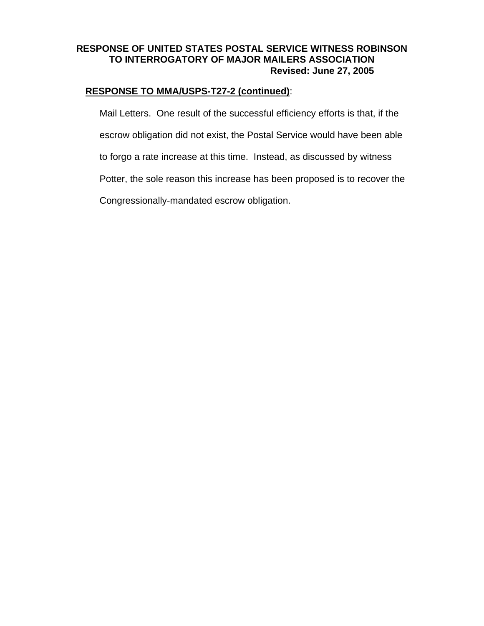### **RESPONSE TO MMA/USPS-T27-2 (continued)**:

Mail Letters. One result of the successful efficiency efforts is that, if the escrow obligation did not exist, the Postal Service would have been able to forgo a rate increase at this time. Instead, as discussed by witness Potter, the sole reason this increase has been proposed is to recover the Congressionally-mandated escrow obligation.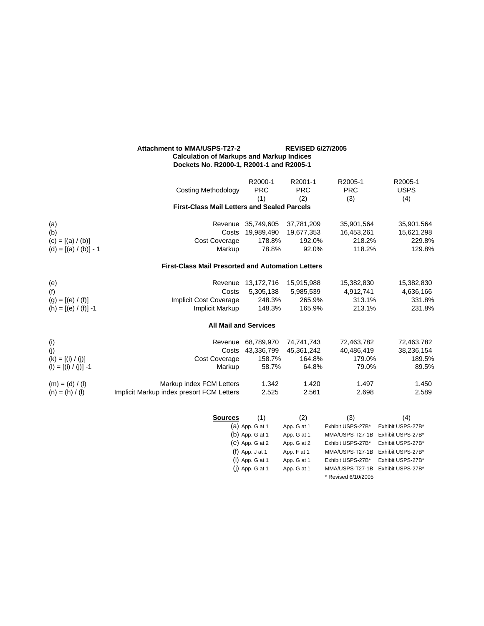#### **Attachment to MMA/USPS-T27-2 REVISED 6/27/2005 Calculation of Markups and Markup Indices Dockets No. R2000-1, R2001-1 and R2005-1**

|                         |                                                          | R2000-1                                | R2001-1                    | R2005-1                              | R2005-1                                |
|-------------------------|----------------------------------------------------------|----------------------------------------|----------------------------|--------------------------------------|----------------------------------------|
|                         | <b>Costing Methodology</b>                               | <b>PRC</b>                             | <b>PRC</b>                 | <b>PRC</b>                           | <b>USPS</b>                            |
|                         |                                                          | (1)                                    | (2)                        | (3)                                  | (4)                                    |
|                         | <b>First-Class Mail Letters and Sealed Parcels</b>       |                                        |                            |                                      |                                        |
| (a)                     |                                                          | Revenue 35,749,605                     | 37,781,209                 | 35,901,564                           | 35,901,564                             |
| (b)                     | Costs                                                    | 19,989,490                             | 19,677,353                 | 16,453,261                           | 15,621,298                             |
| $(c) = [(a) / (b)]$     | Cost Coverage                                            | 178.8%                                 | 192.0%                     | 218.2%                               | 229.8%                                 |
| $(d) = [(a) / (b)] - 1$ | Markup                                                   | 78.8%                                  | 92.0%                      | 118.2%                               | 129.8%                                 |
|                         | <b>First-Class Mail Presorted and Automation Letters</b> |                                        |                            |                                      |                                        |
| (e)                     |                                                          | Revenue 13,172,716                     | 15,915,988                 | 15,382,830                           | 15,382,830                             |
| (f)                     | Costs                                                    | 5,305,138                              | 5,985,539                  | 4,912,741                            | 4,636,166                              |
| $(g) = [(e) / (f)]$     | Implicit Cost Coverage                                   | 248.3%                                 | 265.9%                     | 313.1%                               | 331.8%                                 |
| (h) = $[(e) / (f)] - 1$ | Implicit Markup                                          | 148.3%                                 | 165.9%                     | 213.1%                               | 231.8%                                 |
|                         |                                                          | <b>All Mail and Services</b>           |                            |                                      |                                        |
| (i)                     | Revenue                                                  | 68,789,970                             | 74,741,743                 | 72,463,782                           | 72,463,782                             |
| (j)                     | Costs                                                    | 43,336,799                             | 45,361,242                 | 40,486,419                           | 38,236,154                             |
| $(k) = [(i) / (j)]$     | <b>Cost Coverage</b>                                     | 158.7%                                 | 164.8%                     | 179.0%                               | 189.5%                                 |
| $(I) = [(i) / (j)] - 1$ | Markup                                                   | 58.7%                                  | 64.8%                      | 79.0%                                | 89.5%                                  |
| $(m) = (d) / (l)$       | Markup index FCM Letters                                 | 1.342                                  | 1.420                      | 1.497                                | 1.450                                  |
| $(n) = (h) / (l)$       | Implicit Markup index presort FCM Letters                | 2.525                                  | 2.561                      | 2.698                                | 2.589                                  |
|                         |                                                          |                                        |                            |                                      |                                        |
|                         | <b>Sources</b>                                           | (1)                                    | (2)                        | (3)                                  | (4)                                    |
|                         |                                                          | $(a)$ App. G at 1                      | App. G at 1                | Exhibit USPS-27B*                    | Exhibit USPS-27B*                      |
|                         |                                                          | $(b)$ App. G at 1<br>$(e)$ App. G at 2 | App. G at 1<br>App. G at 2 | MMA/USPS-T27-1B<br>Exhibit USPS-27B* | Exhibit USPS-27B*<br>Exhibit USPS-27B* |
|                         |                                                          | $(f)$ App. J at 1                      | App. F at 1                | MMA/USPS-T27-1B                      | Exhibit USPS-27B*                      |
|                         |                                                          | $(i)$ App. G at 1                      | App. G at 1                | Exhibit USPS-27B*                    | Exhibit USPS-27B*                      |
|                         |                                                          | (j) App. G at 1                        | App. G at 1                | MMA/USPS-T27-1B                      | Exhibit USPS-27B*                      |
|                         |                                                          |                                        |                            | * Revised 6/10/2005                  |                                        |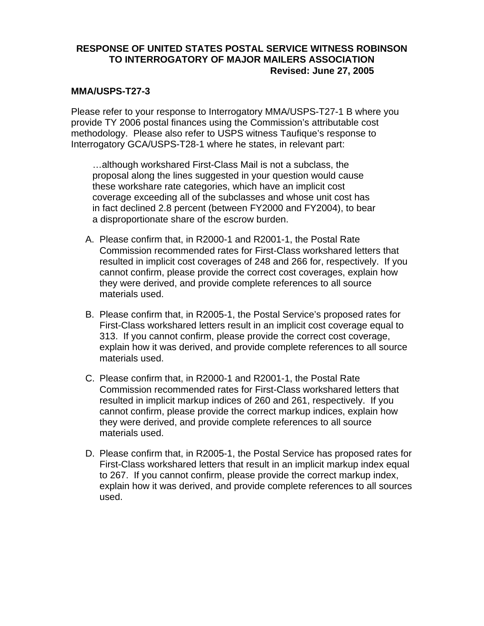### **MMA/USPS-T27-3**

Please refer to your response to Interrogatory MMA/USPS-T27-1 B where you provide TY 2006 postal finances using the Commission's attributable cost methodology. Please also refer to USPS witness Taufique's response to Interrogatory GCA/USPS-T28-1 where he states, in relevant part:

…although workshared First-Class Mail is not a subclass, the proposal along the lines suggested in your question would cause these workshare rate categories, which have an implicit cost coverage exceeding all of the subclasses and whose unit cost has in fact declined 2.8 percent (between FY2000 and FY2004), to bear a disproportionate share of the escrow burden.

- A. Please confirm that, in R2000-1 and R2001-1, the Postal Rate Commission recommended rates for First-Class workshared letters that resulted in implicit cost coverages of 248 and 266 for, respectively. If you cannot confirm, please provide the correct cost coverages, explain how they were derived, and provide complete references to all source materials used.
- B. Please confirm that, in R2005-1, the Postal Service's proposed rates for First-Class workshared letters result in an implicit cost coverage equal to 313. If you cannot confirm, please provide the correct cost coverage, explain how it was derived, and provide complete references to all source materials used.
- C. Please confirm that, in R2000-1 and R2001-1, the Postal Rate Commission recommended rates for First-Class workshared letters that resulted in implicit markup indices of 260 and 261, respectively. If you cannot confirm, please provide the correct markup indices, explain how they were derived, and provide complete references to all source materials used.
- D. Please confirm that, in R2005-1, the Postal Service has proposed rates for First-Class workshared letters that result in an implicit markup index equal to 267. If you cannot confirm, please provide the correct markup index, explain how it was derived, and provide complete references to all sources used.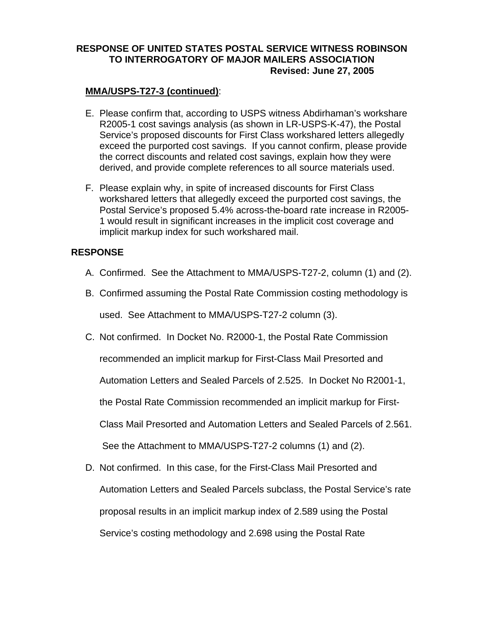### **MMA/USPS-T27-3 (continued)**:

- E. Please confirm that, according to USPS witness Abdirhaman's workshare R2005-1 cost savings analysis (as shown in LR-USPS-K-47), the Postal Service's proposed discounts for First Class workshared letters allegedly exceed the purported cost savings. If you cannot confirm, please provide the correct discounts and related cost savings, explain how they were derived, and provide complete references to all source materials used.
- F. Please explain why, in spite of increased discounts for First Class workshared letters that allegedly exceed the purported cost savings, the Postal Service's proposed 5.4% across-the-board rate increase in R2005- 1 would result in significant increases in the implicit cost coverage and implicit markup index for such workshared mail.

# **RESPONSE**

- A. Confirmed. See the Attachment to MMA/USPS-T27-2, column (1) and (2).
- B. Confirmed assuming the Postal Rate Commission costing methodology is

used. See Attachment to MMA/USPS-T27-2 column (3).

- C. Not confirmed. In Docket No. R2000-1, the Postal Rate Commission recommended an implicit markup for First-Class Mail Presorted and Automation Letters and Sealed Parcels of 2.525. In Docket No R2001-1, the Postal Rate Commission recommended an implicit markup for First-Class Mail Presorted and Automation Letters and Sealed Parcels of 2.561. See the Attachment to MMA/USPS-T27-2 columns (1) and (2).
- D. Not confirmed. In this case, for the First-Class Mail Presorted and Automation Letters and Sealed Parcels subclass, the Postal Service's rate proposal results in an implicit markup index of 2.589 using the Postal Service's costing methodology and 2.698 using the Postal Rate